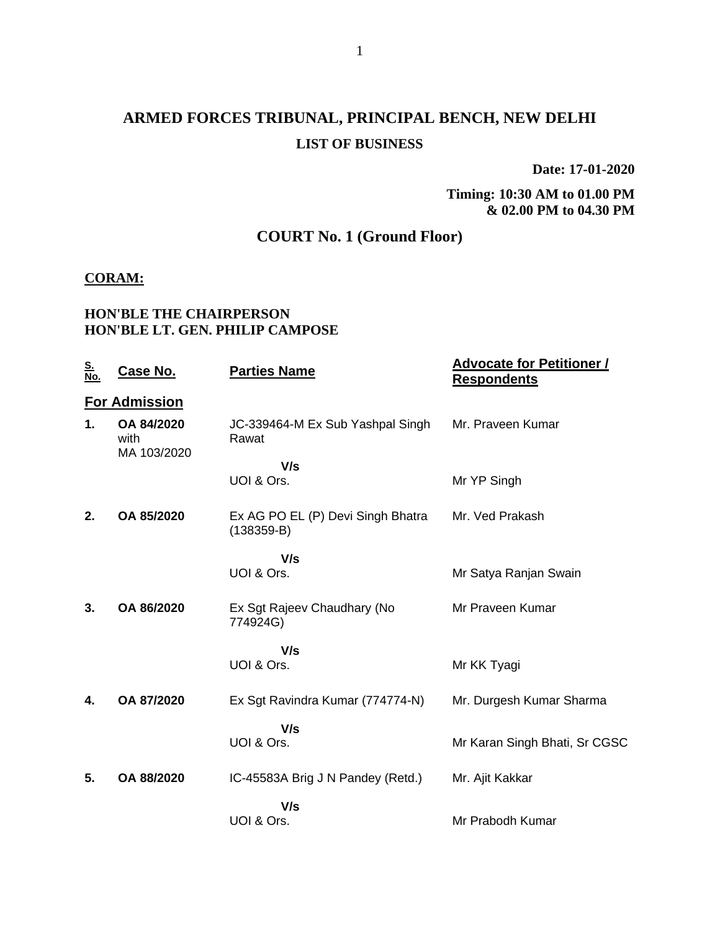# **ARMED FORCES TRIBUNAL, PRINCIPAL BENCH, NEW DELHI LIST OF BUSINESS**

**Date: 17-01-2020**

**Timing: 10:30 AM to 01.00 PM & 02.00 PM to 04.30 PM**

## **COURT No. 1 (Ground Floor)**

#### **CORAM:**

#### **HON'BLE THE CHAIRPERSON HON'BLE LT. GEN. PHILIP CAMPOSE**

| <u>S.<br/>No.</u> | Case No.                          | <b>Parties Name</b>                               | <b>Advocate for Petitioner /</b><br><b>Respondents</b> |
|-------------------|-----------------------------------|---------------------------------------------------|--------------------------------------------------------|
|                   | <b>For Admission</b>              |                                                   |                                                        |
| 1.                | OA 84/2020<br>with<br>MA 103/2020 | JC-339464-M Ex Sub Yashpal Singh<br>Rawat         | Mr. Praveen Kumar                                      |
|                   |                                   | V/s                                               |                                                        |
|                   |                                   | UOI & Ors.                                        | Mr YP Singh                                            |
| 2.                | OA 85/2020                        | Ex AG PO EL (P) Devi Singh Bhatra<br>$(138359-B)$ | Mr. Ved Prakash                                        |
|                   |                                   | V/s                                               |                                                        |
|                   |                                   | UOI & Ors.                                        | Mr Satya Ranjan Swain                                  |
| 3.                | OA 86/2020                        | Ex Sgt Rajeev Chaudhary (No<br>774924G)           | Mr Praveen Kumar                                       |
|                   |                                   | V/s                                               |                                                        |
|                   |                                   | UOI & Ors.                                        | Mr KK Tyagi                                            |
| 4.                | OA 87/2020                        | Ex Sgt Ravindra Kumar (774774-N)                  | Mr. Durgesh Kumar Sharma                               |
|                   |                                   | V/s                                               |                                                        |
|                   |                                   | UOI & Ors.                                        | Mr Karan Singh Bhati, Sr CGSC                          |
| 5.                | OA 88/2020                        | IC-45583A Brig J N Pandey (Retd.)                 | Mr. Ajit Kakkar                                        |
|                   |                                   | V/s                                               |                                                        |
|                   |                                   | UOI & Ors.                                        | Mr Prabodh Kumar                                       |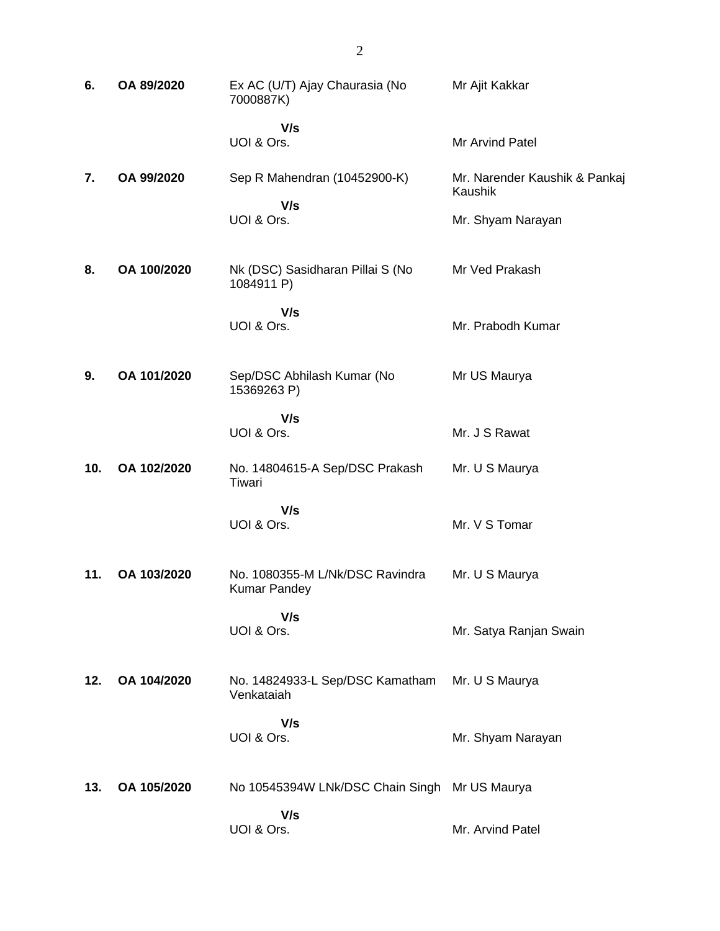| 6.  | OA 89/2020  | Ex AC (U/T) Ajay Chaurasia (No<br>7000887K)            | Mr Ajit Kakkar                           |
|-----|-------------|--------------------------------------------------------|------------------------------------------|
|     |             | V/s<br>UOI & Ors.                                      | Mr Arvind Patel                          |
| 7.  | OA 99/2020  | Sep R Mahendran (10452900-K)                           | Mr. Narender Kaushik & Pankaj<br>Kaushik |
|     |             | V/s<br>UOI & Ors.                                      | Mr. Shyam Narayan                        |
| 8.  | OA 100/2020 | Nk (DSC) Sasidharan Pillai S (No<br>1084911 P)         | Mr Ved Prakash                           |
|     |             | V/s<br>UOI & Ors.                                      | Mr. Prabodh Kumar                        |
| 9.  | OA 101/2020 | Sep/DSC Abhilash Kumar (No<br>15369263 P)              | Mr US Maurya                             |
|     |             | V/s<br>UOI & Ors.                                      | Mr. J S Rawat                            |
| 10. | OA 102/2020 | No. 14804615-A Sep/DSC Prakash<br>Tiwari               | Mr. U S Maurya                           |
|     |             | V/s<br>UOI & Ors.                                      | Mr. V S Tomar                            |
| 11. | OA 103/2020 | No. 1080355-M L/Nk/DSC Ravindra<br><b>Kumar Pandey</b> | Mr. U S Maurya                           |
|     |             | V/s<br>UOI & Ors.                                      | Mr. Satya Ranjan Swain                   |
| 12. | OA 104/2020 | No. 14824933-L Sep/DSC Kamatham<br>Venkataiah          | Mr. U S Maurya                           |
|     |             | V/s<br>UOI & Ors.                                      | Mr. Shyam Narayan                        |
| 13. | OA 105/2020 | No 10545394W LNk/DSC Chain Singh Mr US Maurya          |                                          |
|     |             | V/s<br>UOI & Ors.                                      | Mr. Arvind Patel                         |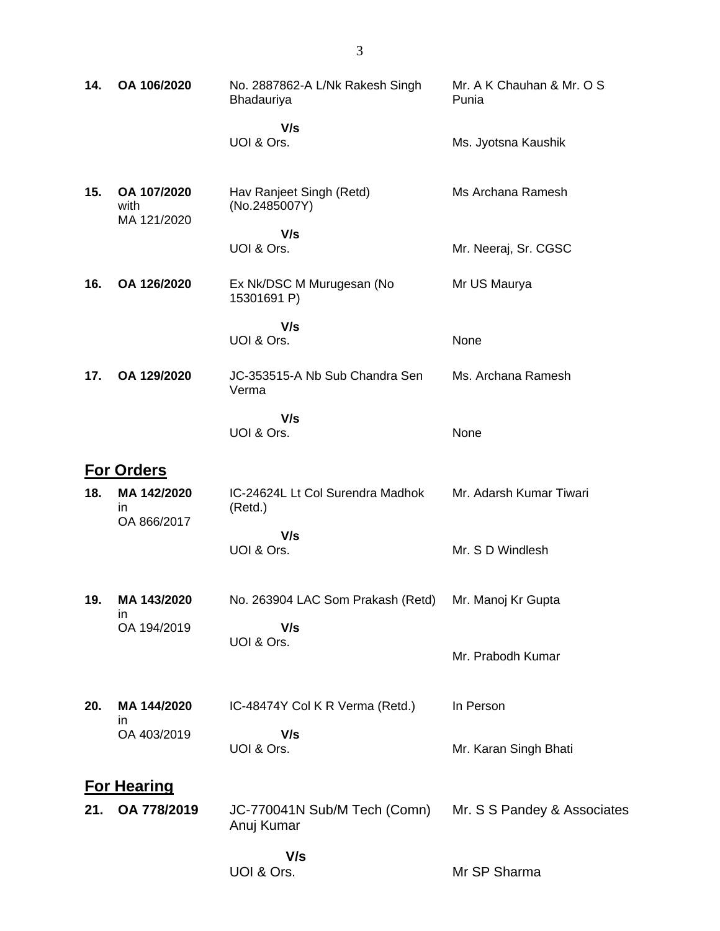| 14. | OA 106/2020                        | No. 2887862-A L/Nk Rakesh Singh<br>Bhadauriya        | Mr. A K Chauhan & Mr. O S<br>Punia |
|-----|------------------------------------|------------------------------------------------------|------------------------------------|
|     |                                    | V/s<br>UOI & Ors.                                    | Ms. Jyotsna Kaushik                |
| 15. | OA 107/2020<br>with<br>MA 121/2020 | Hav Ranjeet Singh (Retd)<br>(No.2485007Y)            | Ms Archana Ramesh                  |
|     |                                    | V/s<br>UOI & Ors.                                    | Mr. Neeraj, Sr. CGSC               |
| 16. | OA 126/2020                        | Ex Nk/DSC M Murugesan (No<br>15301691 P)             | Mr US Maurya                       |
|     |                                    | V/s<br>UOI & Ors.                                    | None                               |
| 17. | OA 129/2020                        | JC-353515-A Nb Sub Chandra Sen<br>Verma              | Ms. Archana Ramesh                 |
|     |                                    | V/s<br>UOI & Ors.                                    | None                               |
|     | <b>For Orders</b>                  |                                                      |                                    |
| 18. | MA 142/2020<br>in.<br>OA 866/2017  | IC-24624L Lt Col Surendra Madhok<br>(Retd.)          | Mr. Adarsh Kumar Tiwari            |
|     |                                    | V/s<br>UOI & Ors.                                    | Mr. S D Windlesh                   |
| 19. | MA 143/2020<br>in                  | No. 263904 LAC Som Prakash (Retd) Mr. Manoj Kr Gupta |                                    |
|     | OA 194/2019                        | V/s<br>UOI & Ors.                                    | Mr. Prabodh Kumar                  |
| 20. | MA 144/2020<br>ın                  | IC-48474Y Col K R Verma (Retd.)                      | In Person                          |
|     | OA 403/2019                        | V/s<br>UOI & Ors.                                    | Mr. Karan Singh Bhati              |
|     | <b>For Hearing</b>                 |                                                      |                                    |
| 21. | OA 778/2019                        | JC-770041N Sub/M Tech (Comn)<br>Anuj Kumar           | Mr. S S Pandey & Associates        |
|     |                                    | V/s<br>UOI & Ors.                                    | Mr SP Sharma                       |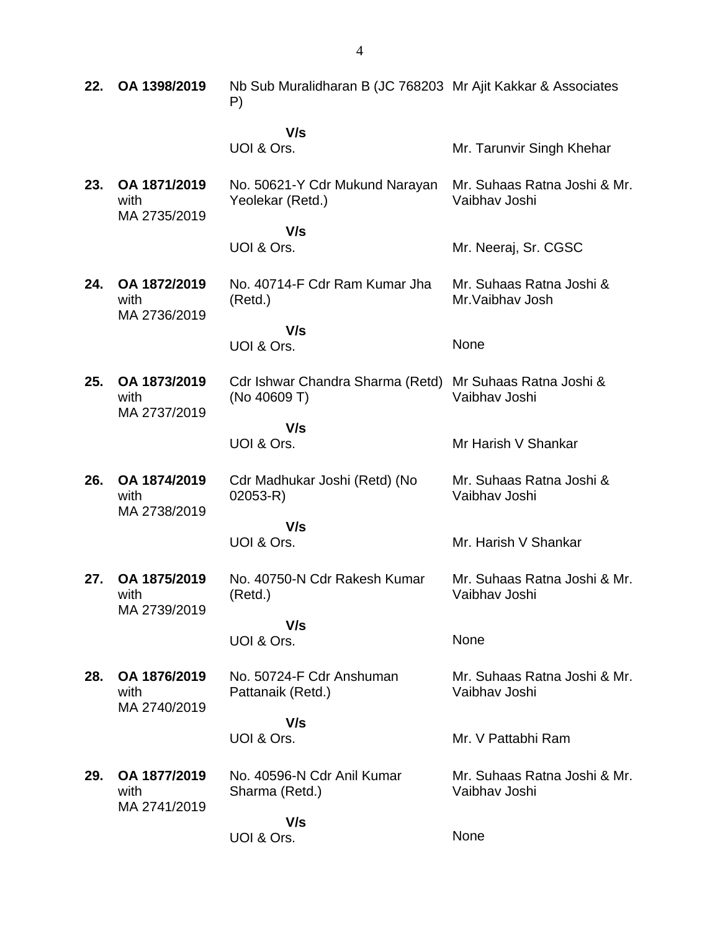| 22. | OA 1398/2019                         | Nb Sub Muralidharan B (JC 768203 Mr Ajit Kakkar & Associates<br>P) |                                               |
|-----|--------------------------------------|--------------------------------------------------------------------|-----------------------------------------------|
|     |                                      | V/s                                                                |                                               |
|     |                                      | UOI & Ors.                                                         | Mr. Tarunvir Singh Khehar                     |
| 23. | OA 1871/2019<br>with<br>MA 2735/2019 | No. 50621-Y Cdr Mukund Narayan<br>Yeolekar (Retd.)                 | Mr. Suhaas Ratna Joshi & Mr.<br>Vaibhav Joshi |
|     |                                      | V/s                                                                |                                               |
|     |                                      | UOI & Ors.                                                         | Mr. Neeraj, Sr. CGSC                          |
| 24. | OA 1872/2019<br>with<br>MA 2736/2019 | No. 40714-F Cdr Ram Kumar Jha<br>(Retd.)                           | Mr. Suhaas Ratna Joshi &<br>Mr. Vaibhay Josh  |
|     |                                      | V/s                                                                |                                               |
|     |                                      | UOI & Ors.                                                         | None                                          |
| 25. | OA 1873/2019<br>with<br>MA 2737/2019 | Cdr Ishwar Chandra Sharma (Retd)<br>(No 40609 T)                   | Mr Suhaas Ratna Joshi &<br>Vaibhav Joshi      |
|     |                                      | V/s                                                                |                                               |
|     |                                      | UOI & Ors.                                                         | Mr Harish V Shankar                           |
| 26. | OA 1874/2019<br>with<br>MA 2738/2019 | Cdr Madhukar Joshi (Retd) (No<br>$02053 - R$                       | Mr. Suhaas Ratna Joshi &<br>Vaibhav Joshi     |
|     |                                      | V/s                                                                |                                               |
|     |                                      | UOI & Ors.                                                         | Mr. Harish V Shankar                          |
| 27. | OA 1875/2019<br>with<br>MA 2739/2019 | No. 40750-N Cdr Rakesh Kumar<br>(Retd.)                            | Mr. Suhaas Ratna Joshi & Mr.<br>Vaibhav Joshi |
|     |                                      | V/s                                                                |                                               |
|     |                                      | UOI & Ors.                                                         | None                                          |
| 28. | OA 1876/2019<br>with<br>MA 2740/2019 | No. 50724-F Cdr Anshuman<br>Pattanaik (Retd.)                      | Mr. Suhaas Ratna Joshi & Mr.<br>Vaibhav Joshi |
|     |                                      | V/s                                                                |                                               |
|     |                                      | UOI & Ors.                                                         | Mr. V Pattabhi Ram                            |
|     |                                      |                                                                    |                                               |
| 29. | OA 1877/2019<br>with                 | No. 40596-N Cdr Anil Kumar<br>Sharma (Retd.)                       | Mr. Suhaas Ratna Joshi & Mr.<br>Vaibhav Joshi |
|     | MA 2741/2019                         | V/s                                                                |                                               |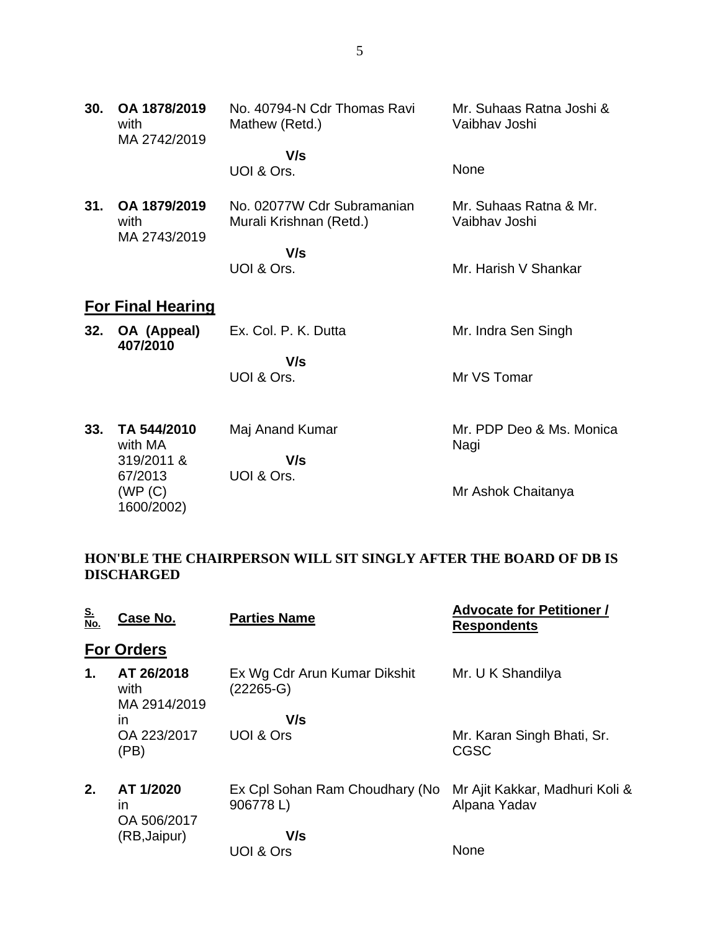| 30. | OA 1878/2019<br>with<br>MA 2742/2019 | No. 40794-N Cdr Thomas Ravi<br>Mathew (Retd.)         | Mr. Suhaas Ratna Joshi &<br>Vaibhav Joshi |
|-----|--------------------------------------|-------------------------------------------------------|-------------------------------------------|
|     |                                      | V/s<br>UOI & Ors.                                     | None                                      |
| 31. | OA 1879/2019<br>with<br>MA 2743/2019 | No. 02077W Cdr Subramanian<br>Murali Krishnan (Retd.) | Mr. Suhaas Ratna & Mr.<br>Vaibhav Joshi   |
|     |                                      | V/s                                                   |                                           |
|     |                                      | UOI & Ors.                                            | Mr. Harish V Shankar                      |
|     | <b>For Final Hearing</b>             |                                                       |                                           |
| 32. | OA (Appeal)<br>407/2010              | Ex. Col. P. K. Dutta                                  | Mr. Indra Sen Singh                       |
|     |                                      | V/s                                                   |                                           |
|     |                                      | UOI & Ors.                                            | Mr VS Tomar                               |
| 33. | TA 544/2010<br>with MA               | Maj Anand Kumar                                       | Mr. PDP Deo & Ms. Monica<br>Nagi          |
|     | 319/2011 &                           | V/s                                                   |                                           |
|     | 67/2013<br>(WP(C)<br>1600/2002)      | UOI & Ors.                                            | Mr Ashok Chaitanya                        |

### **HON'BLE THE CHAIRPERSON WILL SIT SINGLY AFTER THE BOARD OF DB IS DISCHARGED**

| <u>S.<br/>No.</u> | Case No.                                 | <b>Parties Name</b>                        | <b>Advocate for Petitioner /</b><br><b>Respondents</b> |
|-------------------|------------------------------------------|--------------------------------------------|--------------------------------------------------------|
|                   | <b>For Orders</b>                        |                                            |                                                        |
| 1.                | AT 26/2018<br>with<br>MA 2914/2019       | Ex Wg Cdr Arun Kumar Dikshit<br>(22265-G)  | Mr. U K Shandilya                                      |
|                   | in                                       | V/s                                        |                                                        |
|                   | OA 223/2017<br>(PB)                      | UOI & Ors                                  | Mr. Karan Singh Bhati, Sr.<br>CGSC                     |
| 2.                | AT 1/2020<br>$\mathsf{I}$<br>OA 506/2017 | Ex Cpl Sohan Ram Choudhary (No<br>906778L) | Mr Ajit Kakkar, Madhuri Koli &<br>Alpana Yadav         |
|                   | (RB, Jaipur)                             | V/s                                        |                                                        |
|                   |                                          | UOI & Ors                                  | None                                                   |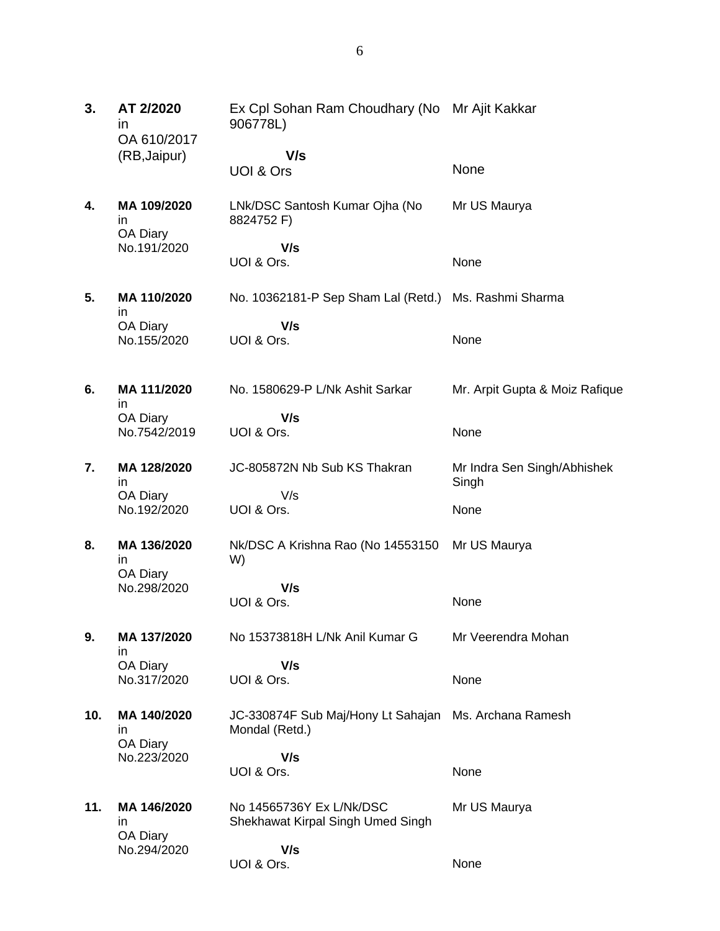| 3.  | AT 2/2020<br>ın<br>OA 610/2017 | Ex Cpl Sohan Ram Choudhary (No Mr Ajit Kakkar<br>906778L)     |                                      |
|-----|--------------------------------|---------------------------------------------------------------|--------------------------------------|
|     | (RB, Jaipur)                   | V/s<br>UOI & Ors                                              | None                                 |
| 4.  | MA 109/2020<br>in<br>OA Diary  | LNk/DSC Santosh Kumar Ojha (No<br>8824752 F)                  | Mr US Maurya                         |
|     | No.191/2020                    | V/s<br>UOI & Ors.                                             | None                                 |
| 5.  | MA 110/2020<br>in              | No. 10362181-P Sep Sham Lal (Retd.) Ms. Rashmi Sharma         |                                      |
|     | OA Diary<br>No.155/2020        | V/s<br>UOI & Ors.                                             | None                                 |
| 6.  | MA 111/2020<br>in.<br>OA Diary | No. 1580629-P L/Nk Ashit Sarkar<br>V/s                        | Mr. Arpit Gupta & Moiz Rafique       |
|     | No.7542/2019                   | UOI & Ors.                                                    | None                                 |
| 7.  | MA 128/2020<br>in.             | JC-805872N Nb Sub KS Thakran<br>V/s                           | Mr Indra Sen Singh/Abhishek<br>Singh |
|     | OA Diary<br>No.192/2020        | UOI & Ors.                                                    | None                                 |
| 8.  | MA 136/2020<br>in.<br>OA Diary | Nk/DSC A Krishna Rao (No 14553150<br>W)                       | Mr US Maurya                         |
|     | No.298/2020                    | V/s<br>UOI & Ors.                                             | None                                 |
| 9.  | MA 137/2020<br>in              | No 15373818H L/Nk Anil Kumar G                                | Mr Veerendra Mohan                   |
|     | OA Diary<br>No.317/2020        | V/s<br>UOI & Ors.                                             | None                                 |
| 10. | MA 140/2020<br>in.<br>OA Diary | JC-330874F Sub Maj/Hony Lt Sahajan<br>Mondal (Retd.)          | Ms. Archana Ramesh                   |
|     | No.223/2020                    | V/s<br>UOI & Ors.                                             | None                                 |
| 11. | MA 146/2020<br>in<br>OA Diary  | No 14565736Y Ex L/Nk/DSC<br>Shekhawat Kirpal Singh Umed Singh | Mr US Maurya                         |
|     | No.294/2020                    | V/s                                                           |                                      |

None

UOI & Ors.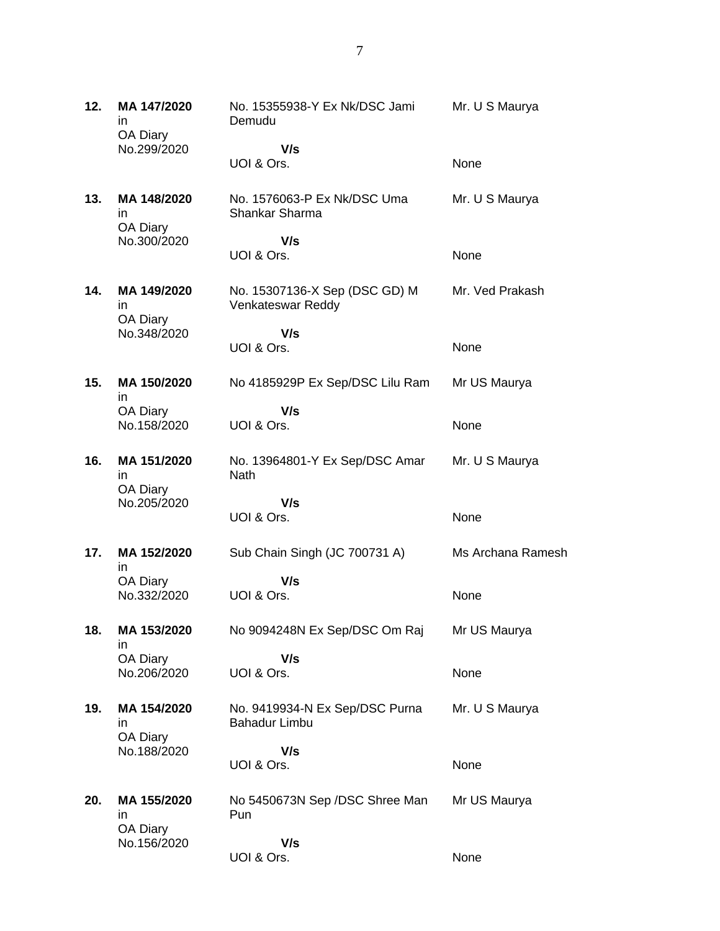| 12. | MA 147/2020<br>ın             | No. 15355938-Y Ex Nk/DSC Jami<br>Demudu                | Mr. U S Maurya    |
|-----|-------------------------------|--------------------------------------------------------|-------------------|
|     | OA Diary<br>No.299/2020       | V/s                                                    |                   |
|     |                               | UOI & Ors.                                             | None              |
| 13. | MA 148/2020<br>ın<br>OA Diary | No. 1576063-P Ex Nk/DSC Uma<br>Shankar Sharma          | Mr. U S Maurya    |
|     | No.300/2020                   | V/s<br>UOI & Ors.                                      | None              |
| 14. | MA 149/2020<br>in<br>OA Diary | No. 15307136-X Sep (DSC GD) M<br>Venkateswar Reddy     | Mr. Ved Prakash   |
|     | No.348/2020                   | V/s                                                    |                   |
|     |                               | UOI & Ors.                                             | None              |
| 15. | MA 150/2020<br>in             | No 4185929P Ex Sep/DSC Lilu Ram                        | Mr US Maurya      |
|     | OA Diary                      | V/s                                                    |                   |
|     | No.158/2020                   | UOI & Ors.                                             | None              |
| 16. | MA 151/2020<br>in<br>OA Diary | No. 13964801-Y Ex Sep/DSC Amar<br>Nath                 | Mr. U S Maurya    |
|     | No.205/2020                   | V/s                                                    |                   |
|     |                               | UOI & Ors.                                             | None              |
| 17. | MA 152/2020<br>in             | Sub Chain Singh (JC 700731 A)                          | Ms Archana Ramesh |
|     | OA Diary                      | V/s                                                    |                   |
|     | No.332/2020                   | UOI & Ors.                                             | None              |
| 18. | MA 153/2020<br>in             | No 9094248N Ex Sep/DSC Om Raj                          | Mr US Maurya      |
|     | OA Diary                      | V/s                                                    |                   |
|     | No.206/2020                   | UOI & Ors.                                             | None              |
| 19. | MA 154/2020<br>in<br>OA Diary | No. 9419934-N Ex Sep/DSC Purna<br><b>Bahadur Limbu</b> | Mr. U S Maurya    |
|     | No.188/2020                   | V/s                                                    |                   |
|     |                               | UOI & Ors.                                             | None              |
| 20. | MA 155/2020<br>in<br>OA Diary | No 5450673N Sep /DSC Shree Man<br>Pun                  | Mr US Maurya      |
|     | No.156/2020                   | V/s                                                    |                   |
|     |                               | UOI & Ors.                                             | None              |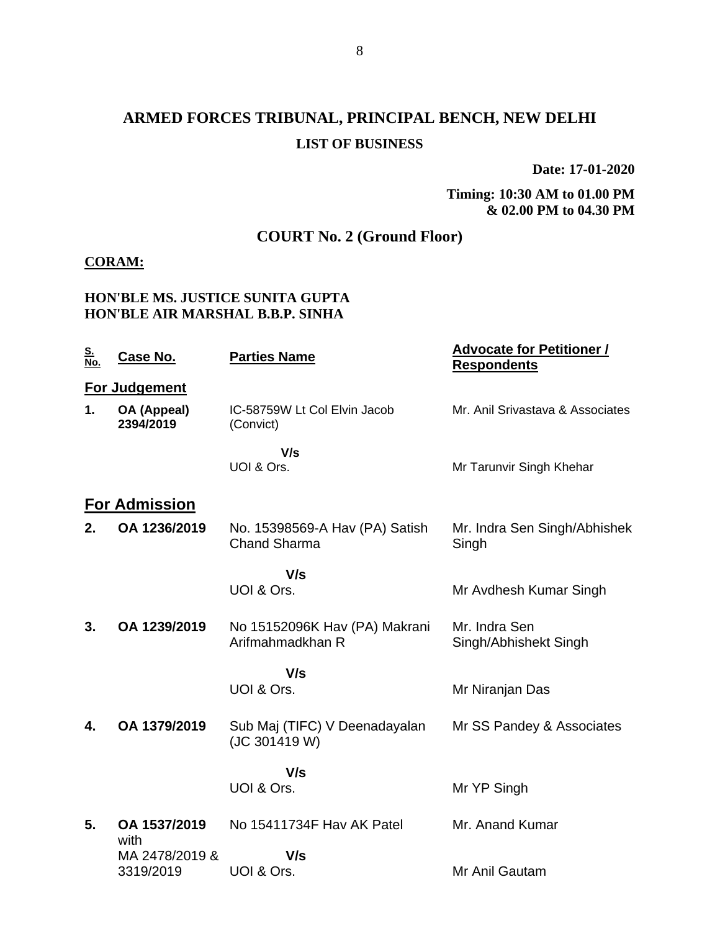# **ARMED FORCES TRIBUNAL, PRINCIPAL BENCH, NEW DELHI LIST OF BUSINESS**

**Date: 17-01-2020**

**Timing: 10:30 AM to 01.00 PM & 02.00 PM to 04.30 PM**

## **COURT No. 2 (Ground Floor)**

#### **CORAM:**

### **HON'BLE MS. JUSTICE SUNITA GUPTA HON'BLE AIR MARSHAL B.B.P. SINHA**

| <u>S.<br/>No.</u> | Case No.                 | <b>Parties Name</b>                                   | <b>Advocate for Petitioner /</b><br><b>Respondents</b> |
|-------------------|--------------------------|-------------------------------------------------------|--------------------------------------------------------|
|                   | <b>For Judgement</b>     |                                                       |                                                        |
| 1.                | OA (Appeal)<br>2394/2019 | IC-58759W Lt Col Elvin Jacob<br>(Convict)             | Mr. Anil Srivastava & Associates                       |
|                   |                          | V/s                                                   |                                                        |
|                   |                          | UOI & Ors.                                            | Mr Tarunvir Singh Khehar                               |
|                   | <b>For Admission</b>     |                                                       |                                                        |
| 2.                | OA 1236/2019             | No. 15398569-A Hav (PA) Satish<br><b>Chand Sharma</b> | Mr. Indra Sen Singh/Abhishek<br>Singh                  |
|                   |                          | V/s                                                   |                                                        |
|                   |                          | UOI & Ors.                                            | Mr Avdhesh Kumar Singh                                 |
| 3.                | OA 1239/2019             |                                                       | Mr. Indra Sen                                          |
|                   |                          | No 15152096K Hav (PA) Makrani<br>Arifmahmadkhan R     | Singh/Abhishekt Singh                                  |
|                   |                          | V/s                                                   |                                                        |
|                   |                          | UOI & Ors.                                            | Mr Niranjan Das                                        |
| 4.                | OA 1379/2019             | Sub Maj (TIFC) V Deenadayalan<br>(JC 301419 W)        | Mr SS Pandey & Associates                              |
|                   |                          | V/s                                                   |                                                        |
|                   |                          | UOI & Ors.                                            | Mr YP Singh                                            |
| 5.                | OA 1537/2019<br>with     | No 15411734F Hav AK Patel                             | Mr. Anand Kumar                                        |
|                   | MA 2478/2019 &           | V/s                                                   |                                                        |
|                   | 3319/2019                | UOI & Ors.                                            | Mr Anil Gautam                                         |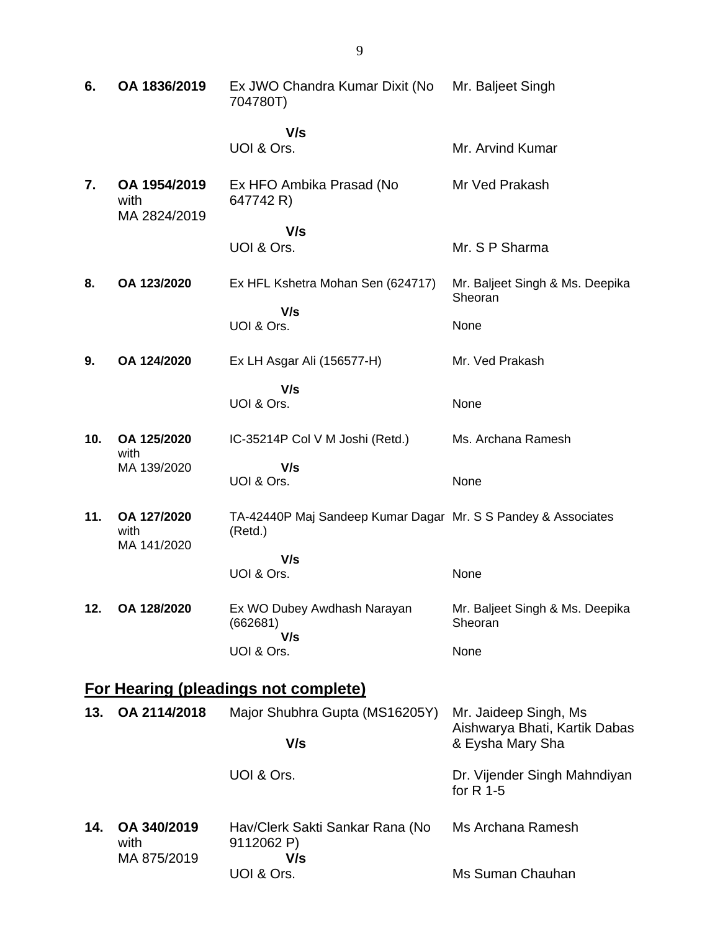| 6.  | OA 1836/2019                         | Ex JWO Chandra Kumar Dixit (No<br>704780T)                               | Mr. Baljeet Singh                                      |
|-----|--------------------------------------|--------------------------------------------------------------------------|--------------------------------------------------------|
|     |                                      | V/s<br>UOI & Ors.                                                        |                                                        |
|     |                                      |                                                                          | Mr. Arvind Kumar                                       |
| 7.  | OA 1954/2019<br>with<br>MA 2824/2019 | Ex HFO Ambika Prasad (No<br>647742 R)                                    | Mr Ved Prakash                                         |
|     |                                      | V/s                                                                      |                                                        |
|     |                                      | UOI & Ors.                                                               | Mr. S P Sharma                                         |
| 8.  | OA 123/2020                          | Ex HFL Kshetra Mohan Sen (624717)                                        | Mr. Baljeet Singh & Ms. Deepika<br>Sheoran             |
|     |                                      | V/s<br>UOI & Ors.                                                        | None                                                   |
|     |                                      |                                                                          |                                                        |
| 9.  | OA 124/2020                          | Ex LH Asgar Ali (156577-H)                                               | Mr. Ved Prakash                                        |
|     |                                      | V/s<br>UOI & Ors.                                                        | None                                                   |
|     |                                      |                                                                          |                                                        |
| 10. | OA 125/2020<br>with                  | IC-35214P Col V M Joshi (Retd.)                                          | Ms. Archana Ramesh                                     |
|     | MA 139/2020                          | V/s                                                                      |                                                        |
|     |                                      | UOI & Ors.                                                               | None                                                   |
| 11. | OA 127/2020<br>with<br>MA 141/2020   | TA-42440P Maj Sandeep Kumar Dagar Mr. S S Pandey & Associates<br>(Retd.) |                                                        |
|     |                                      | V/s                                                                      |                                                        |
|     |                                      | UOI & Ors.                                                               | None                                                   |
| 12. | OA 128/2020                          | Ex WO Dubey Awdhash Narayan<br>(662681)<br>V/s                           | Mr. Baljeet Singh & Ms. Deepika<br>Sheoran             |
|     |                                      | UOI & Ors.                                                               | None                                                   |
|     |                                      |                                                                          |                                                        |
|     |                                      | <b>For Hearing (pleadings not complete)</b>                              |                                                        |
| 13. | OA 2114/2018                         | Major Shubhra Gupta (MS16205Y)                                           | Mr. Jaideep Singh, Ms<br>Aishwarya Bhati, Kartik Dabas |
|     |                                      | V/s                                                                      | & Eysha Mary Sha                                       |
|     |                                      | UOI & Ors.                                                               | Dr. Vijender Singh Mahndiyan<br>for $R$ 1-5            |
| 14. | OA 340/2019<br>with                  | Hav/Clerk Sakti Sankar Rana (No<br>9112062 P)                            | Ms Archana Ramesh                                      |
|     | MA 875/2019                          | V/s<br>UOI & Ors.                                                        | Ms Suman Chauhan                                       |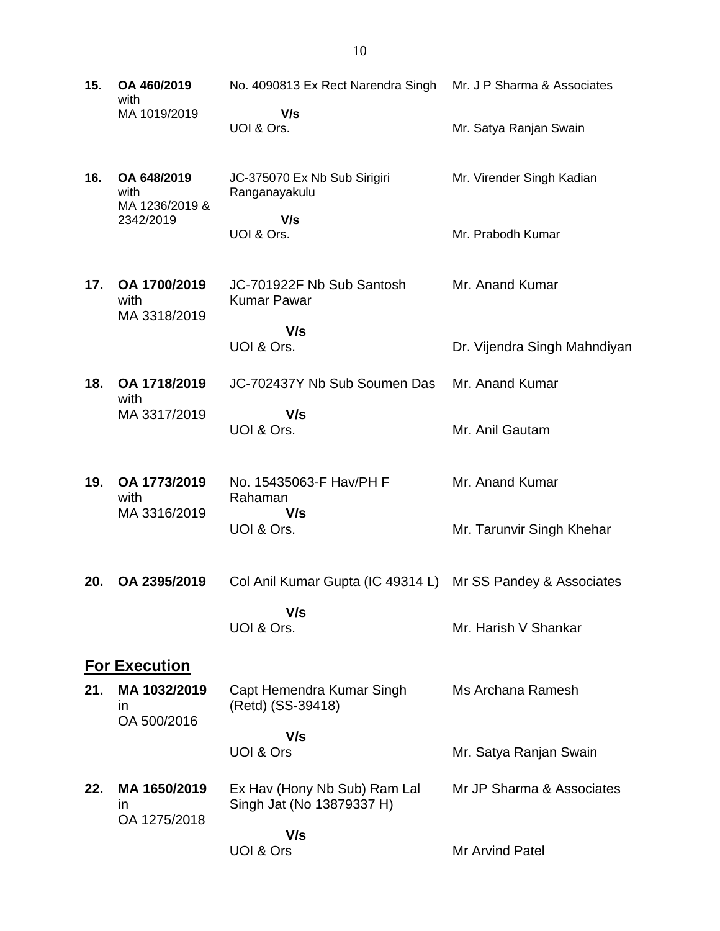**15. OA 460/2019** with MA 1019/2019 No. 4090813 Ex Rect Narendra Singh Mr. J P Sharma & Associates  **V/s** UOI & Ors. Mr. Satya Ranjan Swain **16. OA 648/2019** with MA 1236/2019 & 2342/2019 JC-375070 Ex Nb Sub Sirigiri Ranganayakulu  **V/s** UOI & Ors. Mr. Virender Singh Kadian Mr. Prabodh Kumar **17. OA 1700/2019** with MA 3318/2019 JC-701922F Nb Sub Santosh Kumar Pawar  **V/s** UOI & Ors. Mr. Anand Kumar Dr. Vijendra Singh Mahndiyan **18. OA 1718/2019** with MA 3317/2019 JC-702437Y Nb Sub Soumen Das  **V/s** UOI & Ors. Mr. Anand Kumar Mr. Anil Gautam **19. OA 1773/2019** with MA 3316/2019 No. 15435063-F Hav/PH F Rahaman  **V/s** UOI & Ors. Mr. Anand Kumar Mr. Tarunvir Singh Khehar **20. OA 2395/2019** Col Anil Kumar Gupta (IC 49314 L) Mr SS Pandey & Associates  **V/s** UOI & Ors. Mr. Harish V Shankar **For Execution 21. MA 1032/2019** in OA 500/2016 Capt Hemendra Kumar Singh (Retd) (SS-39418)  **V/s** UOI & Ors Ms Archana Ramesh Mr. Satya Ranjan Swain **22. MA 1650/2019** in OA 1275/2018 Ex Hav (Hony Nb Sub) Ram Lal Singh Jat (No 13879337 H)  **V/s** UOI & Ors Mr JP Sharma & Associates Mr Arvind Patel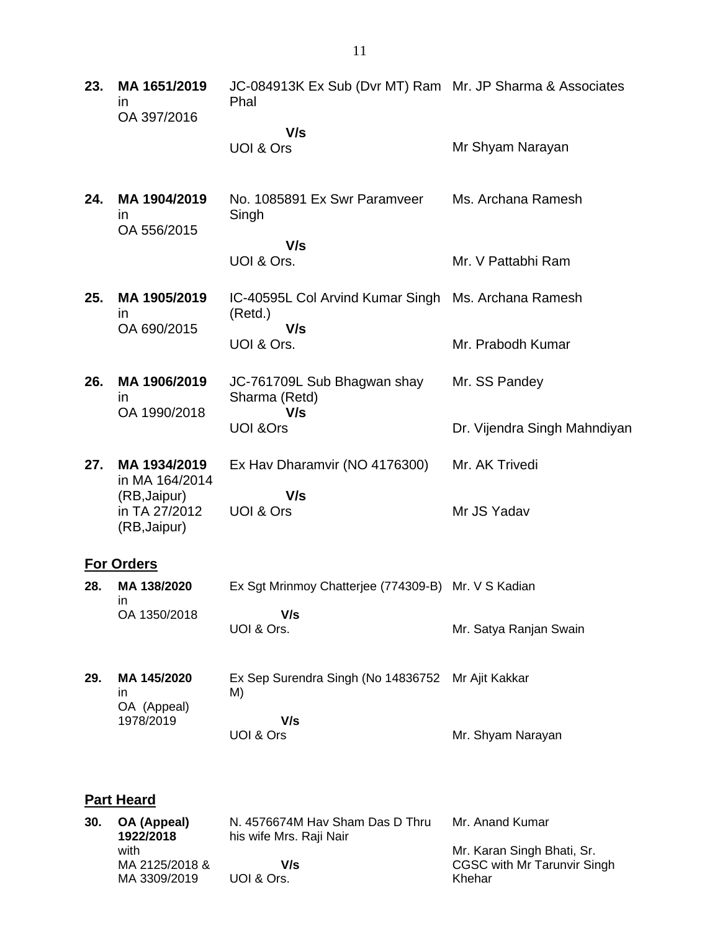| 23. | MA 1651/2019<br>in<br>OA 397/2016             | JC-084913K Ex Sub (Dvr MT) Ram Mr. JP Sharma & Associates<br>Phal |                                                                  |
|-----|-----------------------------------------------|-------------------------------------------------------------------|------------------------------------------------------------------|
|     |                                               | V/s<br>UOI & Ors                                                  | Mr Shyam Narayan                                                 |
| 24. | MA 1904/2019<br><i>in</i><br>OA 556/2015      | No. 1085891 Ex Swr Paramveer<br>Singh                             | Ms. Archana Ramesh                                               |
|     |                                               | V/s<br>UOI & Ors.                                                 | Mr. V Pattabhi Ram                                               |
| 25. | MA 1905/2019<br><i>in</i>                     | IC-40595L Col Arvind Kumar Singh Ms. Archana Ramesh<br>(Retd.)    |                                                                  |
|     | OA 690/2015                                   | V/s<br>UOI & Ors.                                                 | Mr. Prabodh Kumar                                                |
| 26. | MA 1906/2019<br>in                            | JC-761709L Sub Bhagwan shay<br>Sharma (Retd)                      | Mr. SS Pandey                                                    |
|     | OA 1990/2018                                  | V/s<br><b>UOI &amp;Ors</b>                                        | Dr. Vijendra Singh Mahndiyan                                     |
| 27. | MA 1934/2019<br>in MA 164/2014                | Ex Hav Dharamvir (NO 4176300)                                     | Mr. AK Trivedi                                                   |
|     | (RB, Jaipur)<br>in TA 27/2012<br>(RB, Jaipur) | V/s<br>UOI & Ors                                                  | Mr JS Yadav                                                      |
|     | <b>For Orders</b>                             |                                                                   |                                                                  |
| 28. | MA 138/2020<br>in.                            | Ex Sgt Mrinmoy Chatterjee (774309-B) Mr. V S Kadian               |                                                                  |
|     | OA 1350/2018                                  | V/s<br>UOI & Ors.                                                 | Mr. Satya Ranjan Swain                                           |
| 29. | MA 145/2020<br>in                             | Ex Sep Surendra Singh (No 14836752<br>M)                          | Mr Ajit Kakkar                                                   |
|     | OA (Appeal)<br>1978/2019                      | V/s<br>UOI & Ors                                                  | Mr. Shyam Narayan                                                |
|     | <b>Part Heard</b>                             |                                                                   |                                                                  |
| 30. | OA (Appeal)<br>1922/2018                      | N. 4576674M Hav Sham Das D Thru<br>his wife Mrs. Raji Nair        | Mr. Anand Kumar                                                  |
|     | with<br>MA 2125/2018 &                        | V/s                                                               | Mr. Karan Singh Bhati, Sr.<br><b>CGSC with Mr Tarunvir Singh</b> |

Khehar

MA 3309/2019

UOI & Ors.

11